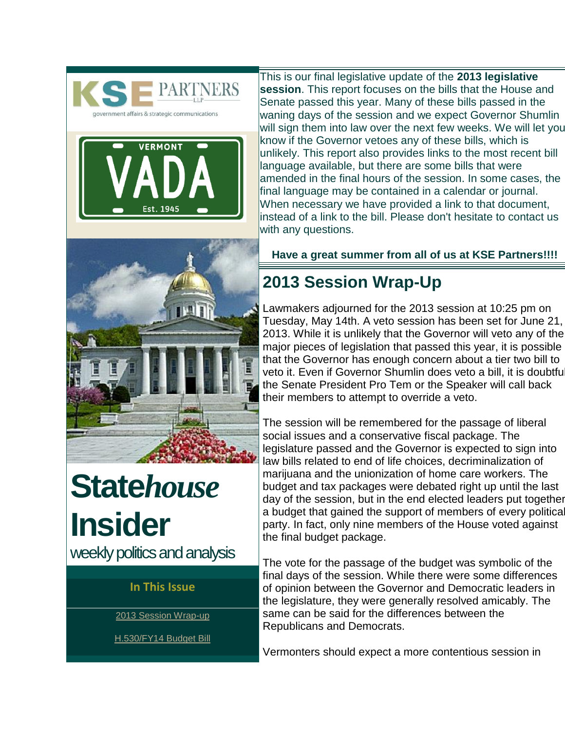<span id="page-0-0"></span>



This is our final legislative update of the **2013 legislative session**. This report focuses on the bills that the House and Senate passed this year. Many of these bills passed in the waning days of the session and we expect Governor Shumlin will sign them into law over the next few weeks. We will let you know if the Governor vetoes any of these bills, which is unlikely. This report also provides links to the most recent bill language available, but there are some bills that were amended in the final hours of the session. In some cases, the final language may be contained in a calendar or journal. When necessary we have provided a link to that document, instead of a link to the bill. Please don't hesitate to contact us with any questions.



**State***house*  **Insider**  weekly politics and analysis

#### **In This Issue**

[2013 Session Wrap-up](#page-0-0)

[H.530/FY14 Budget Bill](#page-1-0)

**Have a great summer from all of us at KSE Partners!!!!**

## **2013 Session Wrap-Up**

Lawmakers adjourned for the 2013 session at 10:25 pm on Tuesday, May 14th. A veto session has been set for June 21, 2013. While it is unlikely that the Governor will veto any of the major pieces of legislation that passed this year, it is possible that the Governor has enough concern about a tier two bill to veto it. Even if Governor Shumlin does veto a bill, it is doubtfu the Senate President Pro Tem or the Speaker will call back their members to attempt to override a veto.

The session will be remembered for the passage of liberal social issues and a conservative fiscal package. The legislature passed and the Governor is expected to sign into law bills related to end of life choices, decriminalization of marijuana and the unionization of home care workers. The budget and tax packages were debated right up until the last day of the session, but in the end elected leaders put together a budget that gained the support of members of every political party. In fact, only nine members of the House voted against the final budget package.

The vote for the passage of the budget was symbolic of the final days of the session. While there were some differences of opinion between the Governor and Democratic leaders in the legislature, they were generally resolved amicably. The same can be said for the differences between the Republicans and Democrats.

Vermonters should expect a more contentious session in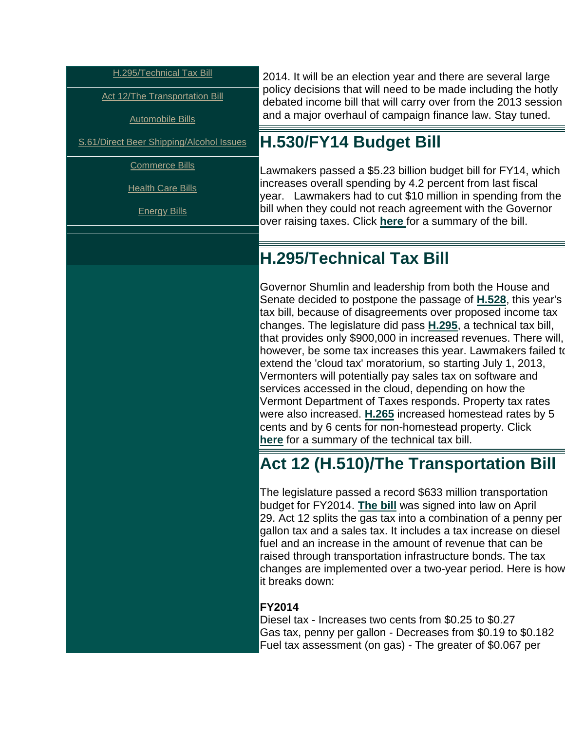<span id="page-1-0"></span>[H.295/Technical Tax Bill](#page-1-0) 

**Act 12/The Transportation Bill** 

[Automobile Bills](#page-2-0)

[S.61/Direct Beer Shipping/Alcohol Issues](#page-3-0) 

[Commerce Bills](#page-4-0)

[Health Care Bills](#page-7-0)

[Energy Bills](#page-10-0)

2014. It will be an election year and there are several large policy decisions that will need to be made including the hotly debated income bill that will carry over from the 2013 session and a major overhaul of campaign finance law. Stay tuned.

### **H.530/FY14 Budget Bill**

Lawmakers passed a \$5.23 billion budget bill for FY14, which increases overall spending by 4.2 percent from last fiscal year. Lawmakers had to cut \$10 million in spending from the bill when they could not reach agreement with the Governor over raising taxes. Click **[here](http://r20.rs6.net/tn.jsp?e=001SW14N2rk0Q4Vd3CxIZBf-T0nravQY8ekGVgvv5tBuxDcg4kaKAALUAnv4fmII6VmZGnowFvoIZFLGGpXyrVPt4bd5jI0ROK9u60YQ2NXR4FfYI1NGbNZTjktHLCQGC7agKG0nkuliUS_VmDZv-jPOe6VfMcUaRTIrEuAeHhZfc15mNKMaP0TqRZ-8NOfaYPBG4c0VCkjkXk=)** for a summary of the bill.

### **H.295/Technical Tax Bill**

Governor Shumlin and leadership from both the House and Senate decided to postpone the passage of **[H.528](http://r20.rs6.net/tn.jsp?e=001SW14N2rk0Q6FS3K8VQZXZtt63klI2HFLnU91SuYu9pYV5mFpwdlTnlc86I1Py0BRrKtCopGJRUxTnk-Q75-e6MQ8O5-wOHJdkRf6DKhBIViDH1KoBPAI1qW3BHlyjeZI4mRtCLb3RFRyYK-vTPla-wmLckIjysRR-n89Hl2QMPA=)**, this year's tax bill, because of disagreements over proposed income tax changes. The legislature did pass **[H.295](http://r20.rs6.net/tn.jsp?e=001SW14N2rk0Q69brFaNvYbBLko2gWkpoqshVE9TYhp3tYrW-BGdBEduJ8Dn6QGbx1gTuk26L9FpNX0KZ7vXx-JpaKQ3AY1C2nFQV3OojoIYnfneFLYvo8CRW_ksM7urz51U4FzgWlKGgAlM3ZBh5-TV24FEWICy5d5fR6H23tr0OQ=)**, a technical tax bill, that provides only \$900,000 in increased revenues. There will, however, be some tax increases this year. Lawmakers failed to extend the 'cloud tax' moratorium, so starting July 1, 2013, Vermonters will potentially pay sales tax on software and services accessed in the cloud, depending on how the Vermont Department of Taxes responds. Property tax rates were also increased. **[H.265](http://r20.rs6.net/tn.jsp?e=001SW14N2rk0Q5bZCy5jXo18wFjDVCvDJUjK45ytB82-zSEM8wgUdr87Um6jIxBVZpnooW4bouQZepuWJjyikur5rwDnWL7mf3Z0Cmu3aJYzU7kE0BULGW58U01Zo72cILI0sd3DLqyY5L5j-kLZkfSzKQjShGN7lpIz28l1rW5mbs=)** increased homestead rates by 5 cents and by 6 cents for non-homestead property. Clic[k](http://r20.rs6.net/tn.jsp?e=001SW14N2rk0Q7SQUkDdwl0YDFod5phMbYwrR2hu2uGv76XqlGMgWifv3KC8ERxC4HkO6MxVKk8YOwNtNgP0f7_bDnydh92Jui-N_lSO_GoCioNBQXEnD8enaixcEyCjfKWEzjs0tw8BQmYLZ11ylQurw==) **[here](http://r20.rs6.net/tn.jsp?e=001SW14N2rk0Q7SQUkDdwl0YDFod5phMbYwrR2hu2uGv76XqlGMgWifv3KC8ERxC4HkO6MxVKk8YOwNtNgP0f7_bDnydh92Jui-N_lSO_GoCioNBQXEnD8enaixcEyCjfKWEzjs0tw8BQmYLZ11ylQurw==)** for a summary of the technical tax bill.

## **Act 12 (H.510)/The Transportation Bill**

The legislature passed a record \$633 million transportation budget for FY2014. **[The bill](http://r20.rs6.net/tn.jsp?e=001SW14N2rk0Q7Vwq5RwYTfOlY9pZiMQ0HEb3392X3xF1WXtKEZnmjaEkRhzTiX-OosbzAy1mXnRtawEnDfeotYhmVyPAsuT4SNRbPQ_6TnrNo0xYBnG9vfA0JlXEQ7arpyqFjcXIPX8fP6aDzHQFd3ifPqeAZgW1q3)** was signed into law on April 29. Act 12 splits the gas tax into a combination of a penny per gallon tax and a sales tax. It includes a tax increase on diesel fuel and an increase in the amount of revenue that can be raised through transportation infrastructure bonds. The tax changes are implemented over a two-year period. Here is how it breaks down:

#### **FY2014**

Diesel tax - Increases two cents from \$0.25 to \$0.27 Gas tax, penny per gallon - Decreases from \$0.19 to \$0.182 Fuel tax assessment (on gas) - The greater of \$0.067 per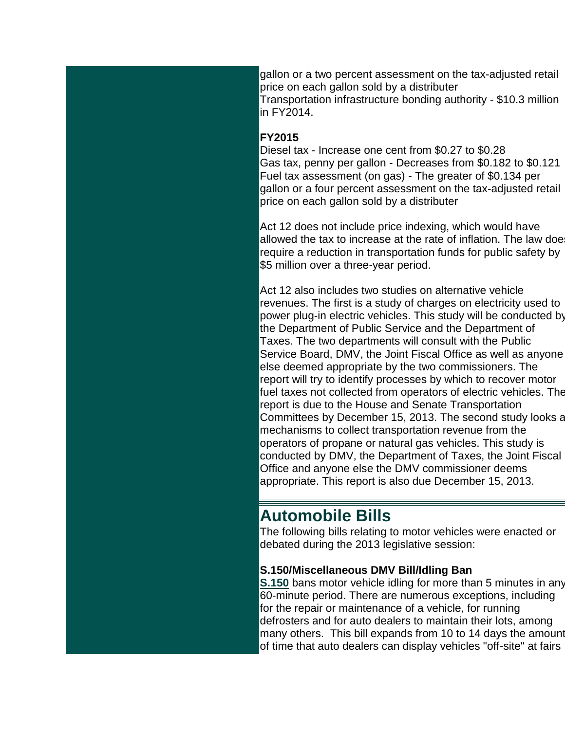<span id="page-2-0"></span>gallon or a two percent assessment on the tax-adjusted retail price on each gallon sold by a distributer Transportation infrastructure bonding authority - \$10.3 million in FY2014.

#### **FY2015**

Diesel tax - Increase one cent from \$0.27 to \$0.28 Gas tax, penny per gallon - Decreases from \$0.182 to \$0.121 Fuel tax assessment (on gas) - The greater of \$0.134 per gallon or a four percent assessment on the tax-adjusted retail price on each gallon sold by a distributer

Act 12 does not include price indexing, which would have allowed the tax to increase at the rate of inflation. The law doe require a reduction in transportation funds for public safety by \$5 million over a three-year period.

Act 12 also includes two studies on alternative vehicle revenues. The first is a study of charges on electricity used to power plug-in electric vehicles. This study will be conducted by the Department of Public Service and the Department of Taxes. The two departments will consult with the Public Service Board, DMV, the Joint Fiscal Office as well as anyone else deemed appropriate by the two commissioners. The report will try to identify processes by which to recover motor fuel taxes not collected from operators of electric vehicles. The report is due to the House and Senate Transportation Committees by December 15, 2013. The second study looks a mechanisms to collect transportation revenue from the operators of propane or natural gas vehicles. This study is conducted by DMV, the Department of Taxes, the Joint Fiscal Office and anyone else the DMV commissioner deems appropriate. This report is also due December 15, 2013.

### **Automobile Bills**

The following bills relating to motor vehicles were enacted or debated during the 2013 legislative session:

#### **S.150/Miscellaneous DMV Bill/Idling Ban**

**[S.150](http://r20.rs6.net/tn.jsp?e=001SW14N2rk0Q5jeCLmaOC1ZqytCIGJBHqSzqwNP6SQ1EqrMhyEOTAqRCdf_zaqnwZw84WRemxBxHKBiXAqxE7I41yK2zp3eLcFKIMip9Z6Z0W7suDpyTGDQqpBrjG-btVAj9jfPgzXnU19k8PyfkDCjJINHLmhOxVzhbqggPZOCz4=)** bans motor vehicle idling for more than 5 minutes in any 60-minute period. There are numerous exceptions, including for the repair or maintenance of a vehicle, for running defrosters and for auto dealers to maintain their lots, among many others. This bill expands from 10 to 14 days the amount of time that auto dealers can display vehicles "off-site" at fairs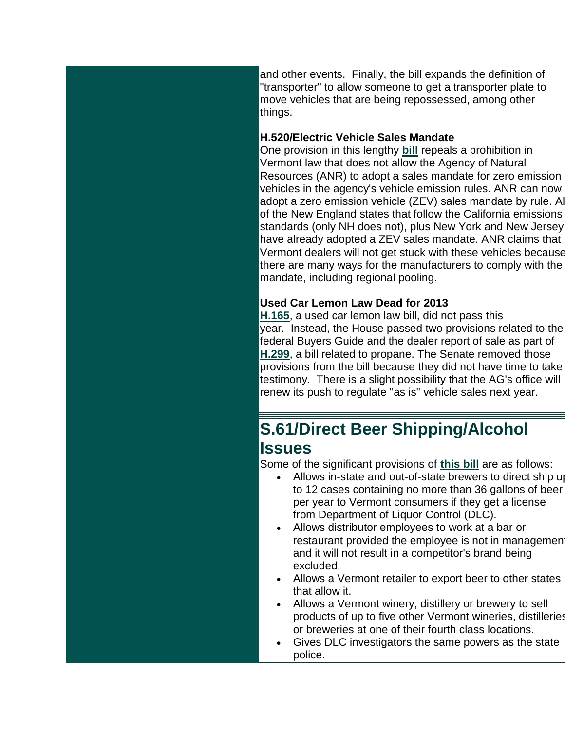<span id="page-3-0"></span>and other events. Finally, the bill expands the definition of "transporter" to allow someone to get a transporter plate to move vehicles that are being repossessed, among other things.

#### **H.520/Electric Vehicle Sales Mandate**

One provision in this lengthy **[bill](http://r20.rs6.net/tn.jsp?e=001SW14N2rk0Q6d8_byTf42guvXjfQ5YppaLi3hslb5-XzikiBo_jWFLLznJuRbHCMex8wBPQvLWeDg6yOpuVpMruvXVaRzljfdDlC2XVnQNDZt12EBegPv_etlQ8BmmYQLs4XbLQzSK3M5UTatfr5KE2bcUZ6nKGf9H_YcZECqnDY=)** repeals a prohibition in Vermont law that does not allow the Agency of Natural Resources (ANR) to adopt a sales mandate for zero emission vehicles in the agency's vehicle emission rules. ANR can now adopt a zero emission vehicle (ZEV) sales mandate by rule. All of the New England states that follow the California emissions standards (only NH does not), plus New York and New Jersey, have already adopted a ZEV sales mandate. ANR claims that Vermont dealers will not get stuck with these vehicles because there are many ways for the manufacturers to comply with the mandate, including regional pooling.

#### **Used Car Lemon Law Dead for 2013**

**[H.165](http://r20.rs6.net/tn.jsp?e=001SW14N2rk0Q48vFfA3quWQxatLRtWA5vWurCQ1L0h9JSIzo7d9spLqwNnOyFTLsSbmodbiXfEG9pRkOYqp5b1cY5uddeuymrZCFcMMTQIylVQn7lim6UCzza42JdgBC2bydQ0ARKXyvB9PDoDfI9wD_cfZ8LOH1mONMq2txZ2fjo=)**, a used car lemon law bill, did not pass this year. Instead, the House passed two provisions related to the federal Buyers Guide and the dealer report of sale as part of **[H.299](http://r20.rs6.net/tn.jsp?e=001SW14N2rk0Q6VJ0SWmSPNc-wA5-uPNcylkatC2SFx7rAB40gtFpmTpmMWgvqk1qxFrR_uq8n6z5QVALO-GID4EetchFAvjYQzTImG6VwGUhLVLqDeu4NUEXLBVoEn0tJlOW7Rn95YRg8tHC5dhPo9t9X5yb1Va_AaqKF8YI5oBq4=)**, a bill related to propane. The Senate removed those provisions from the bill because they did not have time to take testimony. There is a slight possibility that the AG's office will renew its push to regulate "as is" vehicle sales next year.

## **S.61/Direct Beer Shipping/Alcohol Issues**

Some of the significant provisions of **[this bill](http://r20.rs6.net/tn.jsp?e=001SW14N2rk0Q782uHk-WFf5Sjwret6PtK0QsoTssx6AHODTeISybVhUVsSIPD53w2TVWH70gcuyRuiY9G1nvbpXmZEvSWjGEmMifVZcx4_l1jvGX-S7Q4OiuVtgRLkk3WaqcjdRsD8fcEYQQ-abLXnHISKMq6eh0yXzNZKRR3UOFg=)** are as follows:

- Allows in-state and out-of-state brewers to direct ship up to 12 cases containing no more than 36 gallons of beer per year to Vermont consumers if they get a license from Department of Liquor Control (DLC).
- Allows distributor employees to work at a bar or restaurant provided the employee is not in managemen and it will not result in a competitor's brand being excluded.
- Allows a Vermont retailer to export beer to other states that allow it.
- Allows a Vermont winery, distillery or brewery to sell products of up to five other Vermont wineries, distilleries or breweries at one of their fourth class locations.
- Gives DLC investigators the same powers as the state police.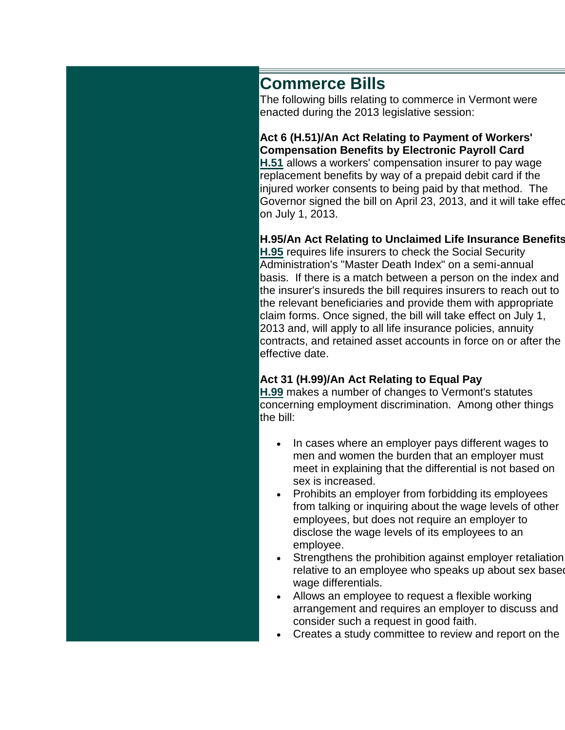### <span id="page-4-0"></span>**Commerce Bills**

The following bills relating to commerce in Vermont were enacted during the 2013 legislative session:

**Act 6 (H.51)/An Act Relating to Payment of Workers' Compensation Benefits by Electronic Payroll Card [H.51](http://r20.rs6.net/tn.jsp?e=001SW14N2rk0Q455G1ilMHYpFukJfehvnN5cscHr6XeZB_xBzq2xVAhrxycNsOftCEYICsaF7V2BUq1pbs1JIzFABkiiFszT7bsaEBVrmVGOiUPK9vj7dBdYPCVNj6JWH0eE3z1F9MhDZ42iueLBO12YlBZj1RHOa_t)** allows a workers' compensation insurer to pay wage replacement benefits by way of a prepaid debit card if the injured worker consents to being paid by that method. The Governor signed the bill on April 23, 2013, and it will take effed on July 1, 2013.

#### **H.95/An Act Relating to Unclaimed Life Insurance Benefits**

**[H.95](http://r20.rs6.net/tn.jsp?e=001SW14N2rk0Q5goDhYmnR8vMrDr-3y0XmRpln4VK5y7UGnjcbbY21rWds78m6MrBLUsxosQMe5os0O4WX6aSHWbq00CSiP3OEbEP43r0iSm0lwhe1djlKrQBj88uNix87FrBbLKbn0LSXIBlMuMlBcUsi7T0rGo24zSst3ZYJhA0w-u01qgJMbxw==)** requires life insurers to check the Social Security Administration's "Master Death Index" on a semi-annual basis. If there is a match between a person on the index and the insurer's insureds the bill requires insurers to reach out to the relevant beneficiaries and provide them with appropriate claim forms. Once signed, the bill will take effect on July 1, 2013 and, will apply to all life insurance policies, annuity contracts, and retained asset accounts in force on or after the effective date.

#### **Act 31 (H.99)/An Act Relating to Equal Pay**

**[H.99](http://r20.rs6.net/tn.jsp?e=001SW14N2rk0Q7utRgI-eZ1mVmcw1vtNehOTV34kIrS_Fd9-4JyFPofBtOdbypfXiMaVWAQjl_uQbMO-cKsvfllrnBgRB3gisVT8htxHPU1PNAzNtW16ERENOfSlYtG6Pe7lt_dPTDgrJ6_FpDwQ6hFCnc9Lbbc-fgn)** makes a number of changes to Vermont's statutes concerning employment discrimination. Among other things the bill:

- In cases where an employer pays different wages to men and women the burden that an employer must meet in explaining that the differential is not based on sex is increased.
- Prohibits an employer from forbidding its employees from talking or inquiring about the wage levels of other employees, but does not require an employer to disclose the wage levels of its employees to an employee.
- Strengthens the prohibition against employer retaliation relative to an employee who speaks up about sex base wage differentials.
- Allows an employee to request a flexible working arrangement and requires an employer to discuss and consider such a request in good faith.
- Creates a study committee to review and report on the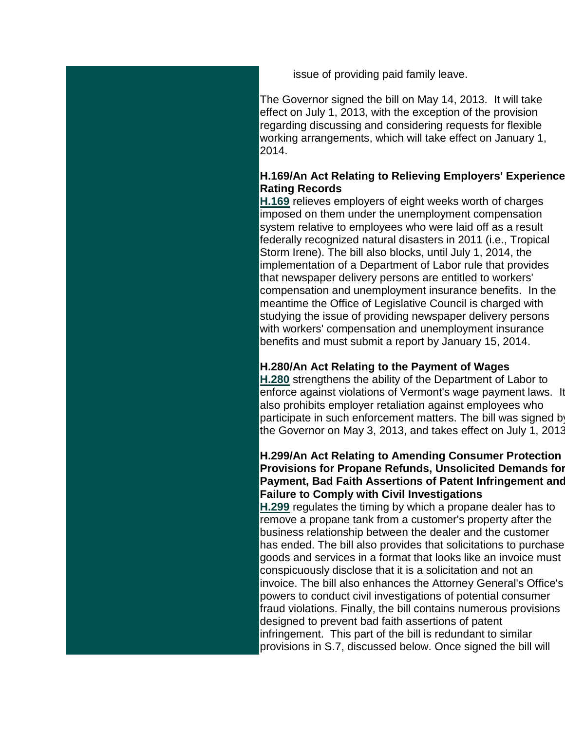issue of providing paid family leave.

The Governor signed the bill on May 14, 2013. It will take effect on July 1, 2013, with the exception of the provision regarding discussing and considering requests for flexible working arrangements, which will take effect on January 1, 2014.

#### **H.169/An Act Relating to Relieving Employers' Experience-Rating Records**

**[H.169](http://r20.rs6.net/tn.jsp?e=001SW14N2rk0Q4SNUC6HoIu2Ry15UuU2UaVGDg7CwImEzKou6YlMuLOyZh-5Lyju6CrBm0IptIPG1E2hxJGFTm-YV6rtTaKN5SCamXiOJsd2RfERHR2y9nlvTm_r46nkqFz4ZT1lYhhxiMKk1HBpckJsNas83ivmK9IBoeV7BgGMSW3IojoKbJtxA==)** relieves employers of eight weeks worth of charges imposed on them under the unemployment compensation system relative to employees who were laid off as a result federally recognized natural disasters in 2011 (i.e., Tropical Storm Irene). The bill also blocks, until July 1, 2014, the implementation of a Department of Labor rule that provides that newspaper delivery persons are entitled to workers' compensation and unemployment insurance benefits. In the meantime the Office of Legislative Council is charged with studying the issue of providing newspaper delivery persons with workers' compensation and unemployment insurance benefits and must submit a report by January 15, 2014.

#### **H.280/An Act Relating to the Payment of Wages**

**[H.280](http://r20.rs6.net/tn.jsp?e=001SW14N2rk0Q73XPdxC1PWJaU1EBvd1djGIgB5irynqTNdnM7-IHj27AAo17_VMvkt_Lxs3cjmlE3LeHsmh_KmmahZpqlQTDRY5tTllDVFAvKVKByQkN_84JqMojHKJuLLZtUwCyNLgd4IfP_VN7f9WijXFk7-LHR5VrvcAWikxdvSQon0EeXlvg==)** strengthens the ability of the Department of Labor to enforce against violations of Vermont's wage payment laws. It also prohibits employer retaliation against employees who participate in such enforcement matters. The bill was signed by the Governor on May 3, 2013, and takes effect on July 1, 2013.

#### **H.299/An Act Relating to Amending Consumer Protection Provisions for Propane Refunds, Unsolicited Demands for Payment, Bad Faith Assertions of Patent Infringement and Failure to Comply with Civil Investigations**

**[H.299](http://r20.rs6.net/tn.jsp?e=001SW14N2rk0Q7IBEWfOAzMtwZl490chawQPfGHdZWgtOsbhJMf8z7QIuxYzLAyXnKSmrn9a_YVgJ1ahYj53Qd7R3-PHLEGTBGf4aNUhbWCWB4uvdt9JnBsDymMivssOiYoR-eL5co7KEJT_h4h7NT9sekwVIbsOjA88g1QA-fdB08bo1JFlJfDcw==)** regulates the timing by which a propane dealer has to remove a propane tank from a customer's property after the business relationship between the dealer and the customer has ended. The bill also provides that solicitations to purchase goods and services in a format that looks like an invoice must conspicuously disclose that it is a solicitation and not an invoice. The bill also enhances the Attorney General's Office's powers to conduct civil investigations of potential consumer fraud violations. Finally, the bill contains numerous provisions designed to prevent bad faith assertions of patent infringement. This part of the bill is redundant to similar provisions in S.7, discussed below. Once signed the bill will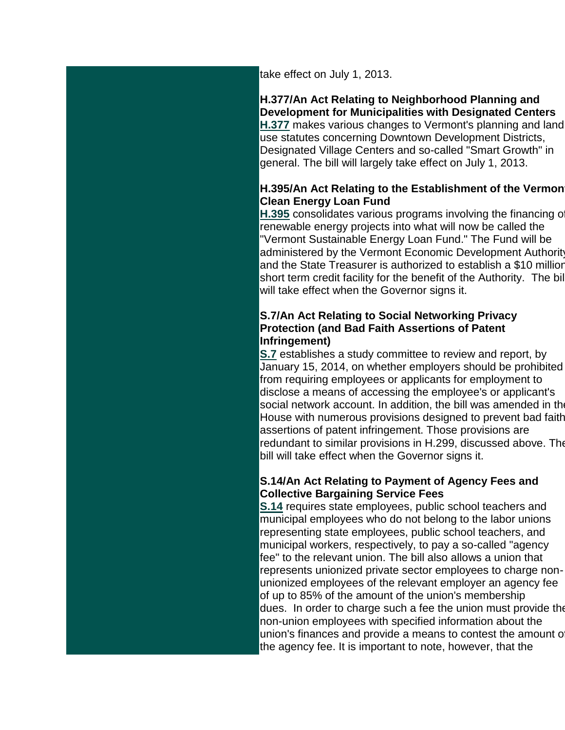take effect on July 1, 2013.

**H.377/An Act Relating to Neighborhood Planning and Development for Municipalities with Designated Centers [H.377](http://r20.rs6.net/tn.jsp?e=001SW14N2rk0Q6jnRSzgItMYqhT-iEUM_6WvZgj2MC7wwB6hjCAqJCE4B4PJ8pkYmI2SvBjKBvBvUI6NECe5epv9FnVS-IJHnOc9FGKqUyt-tHQf19Lbbn_vDlMFgCA2NUXWkadUyHsxP9pS5sIi8iwj6WFl1UJm2uorkom-EWbNysgouc4IRHDCQ==)** makes various changes to Vermont's planning and land use statutes concerning Downtown Development Districts, Designated Village Centers and so-called "Smart Growth" in general. The bill will largely take effect on July 1, 2013.

#### **H.395/An Act Relating to the Establishment of the Vermon Clean Energy Loan Fund**

**[H.395](http://r20.rs6.net/tn.jsp?e=001SW14N2rk0Q7Fem5hBQMdYQy2IsObYrtUBS5gBlWlHSavV1ArNz4zEO6Il_Ls2RRtqv-hgyKp-30rG_r0uQtoDC7BdwZ_sM-CQp6XT8NmLR0RVy4A_s8RL4Hc8SKQF76jJ-MP_pNKNgut-sDLlGhvfwDYiIiM66RyhmIfENBCg1w=)** consolidates various programs involving the financing of renewable energy projects into what will now be called the "Vermont Sustainable Energy Loan Fund." The Fund will be administered by the Vermont Economic Development Authority and the State Treasurer is authorized to establish a \$10 million short term credit facility for the benefit of the Authority. The bill will take effect when the Governor signs it.

#### **S.7/An Act Relating to Social Networking Privacy Protection (and Bad Faith Assertions of Patent Infringement)**

**[S.7](http://r20.rs6.net/tn.jsp?e=001SW14N2rk0Q7Gzsby8MTFsvVkHjMFgnp3HRuPtXlxp2lJb2UNJM0bSNgRJncxzsMdmsMabMgxNZHx9VugraXsvn_DM31C5tTIkJV4gPowbZ57XNCo4LiN0KlYGydAT5l4d0VJTMq9WvwU5u0bKDALT5piI-VQOdj-51FPDx_2cCA=)** establishes a study committee to review and report, by January 15, 2014, on whether employers should be prohibited from requiring employees or applicants for employment to disclose a means of accessing the employee's or applicant's social network account. In addition, the bill was amended in the House with numerous provisions designed to prevent bad faith assertions of patent infringement. Those provisions are redundant to similar provisions in H.299, discussed above. The bill will take effect when the Governor signs it.

#### **S.14/An Act Relating to Payment of Agency Fees and Collective Bargaining Service Fees**

**[S.14](http://r20.rs6.net/tn.jsp?e=001SW14N2rk0Q5vPKb3NZMKNj33YQvg9XHp-gDCcVaYO3tel2eKl9uJ_JKi-7eW_1AeiwFwUqoAlAXC_DvyB_Bee7sHUKbvJbFqqVeD3Twb5CPmZkI3Rv5haYvM9Sw1aqWDCBcxury5PyLz97_RmdRjs5oL9TObI968zHUOkHWeS-I=)** requires state employees, public school teachers and municipal employees who do not belong to the labor unions representing state employees, public school teachers, and municipal workers, respectively, to pay a so-called "agency fee" to the relevant union. The bill also allows a union that represents unionized private sector employees to charge nonunionized employees of the relevant employer an agency fee of up to 85% of the amount of the union's membership dues. In order to charge such a fee the union must provide the non-union employees with specified information about the union's finances and provide a means to contest the amount of the agency fee. It is important to note, however, that the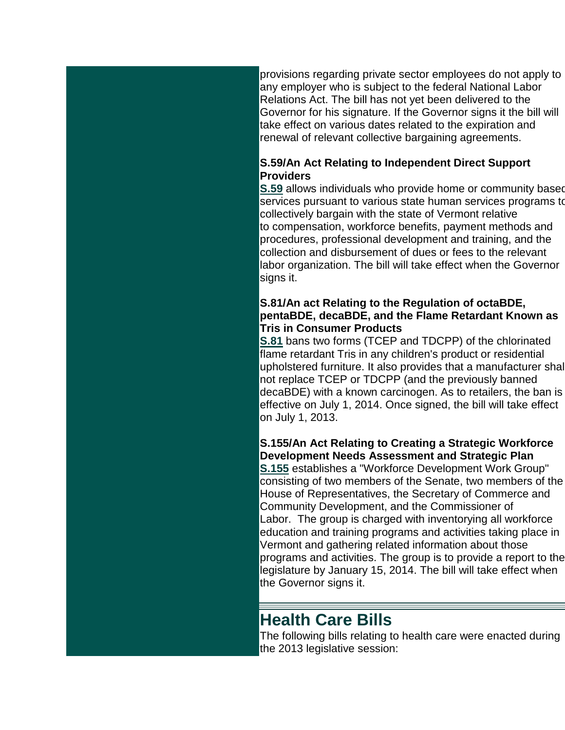<span id="page-7-0"></span>provisions regarding private sector employees do not apply to any employer who is subject to the federal National Labor Relations Act. The bill has not yet been delivered to the Governor for his signature. If the Governor signs it the bill will take effect on various dates related to the expiration and renewal of relevant collective bargaining agreements.

#### **S.59/An Act Relating to Independent Direct Support Providers**

**[S.59](http://r20.rs6.net/tn.jsp?e=001SW14N2rk0Q7ltC_bRR7hEymOb6GOO5bOC7mW6NrC3jvNRWyUgC78XUv8vq7bzyAOBx_z98OV_SmFN3TPvo89aq4_CtG70gqGT-AJp7QoBhmNE6DTgqvo7AUaNprru_tOZod7ji5MoIPIdnNV7jNPKkkm0jhOwpw_zjKhc_GNRiU=)** allows individuals who provide home or community based services pursuant to various state human services programs to collectively bargain with the state of Vermont relative to compensation, workforce benefits, payment methods and procedures, professional development and training, and the collection and disbursement of dues or fees to the relevant labor organization. The bill will take effect when the Governor signs it.

#### **S.81/An act Relating to the Regulation of octaBDE, pentaBDE, decaBDE, and the Flame Retardant Known as Tris in Consumer Products**

**[S.81](http://r20.rs6.net/tn.jsp?e=001SW14N2rk0Q4RVjGg1Fu7DjvpnS6R47pKFpH6TGoA25OP84AMxI58JP7uamobuWnKj64q0QI9Ro8CzA4zr33B_rtgqXIvIe-AV5me2X7QOK_Pr3KQibCpJH-lPHoey6jq_F0pjTJ72zppda6QhEu15Rd1nvfeLU4As93fxhuHchU=)** bans two forms (TCEP and TDCPP) of the chlorinated flame retardant Tris in any children's product or residential upholstered furniture. It also provides that a manufacturer shall not replace TCEP or TDCPP (and the previously banned decaBDE) with a known carcinogen. As to retailers, the ban is effective on July 1, 2014. Once signed, the bill will take effect on July 1, 2013.

**S.155/An Act Relating to Creating a Strategic Workforce Development Needs Assessment and Strategic Plan [S.155](http://r20.rs6.net/tn.jsp?e=001SW14N2rk0Q5nVDSTW4PDHoFzXXonVonxRsLBCas6diRcDbvqaAGbUDojmtgIKEK3DnH4t3cGhDIHPj4seGn1wlFa6EMSzR9xDa_AgmBNkM0FQB8Bz1XcWhxE0kEXidigR7-qcyg0A99NfIELOpa_BeMK1YhBtWGSP_z2tslAGlM=)** establishes a "Workforce Development Work Group" consisting of two members of the Senate, two members of the House of Representatives, the Secretary of Commerce and Community Development, and the Commissioner of Labor. The group is charged with inventorying all workforce education and training programs and activities taking place in Vermont and gathering related information about those programs and activities. The group is to provide a report to the legislature by January 15, 2014. The bill will take effect when the Governor signs it.

### **Health Care Bills**

The following bills relating to health care were enacted during the 2013 legislative session: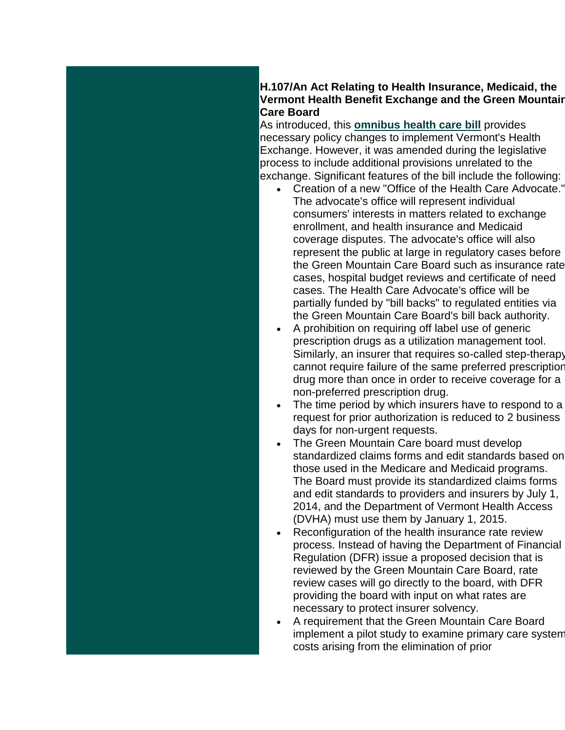#### **H.107/An Act Relating to Health Insurance, Medicaid, the Vermont Health Benefit Exchange and the Green Mountain Care Board**

As introduced, this **omnibus [health care bill](http://r20.rs6.net/tn.jsp?e=001SW14N2rk0Q4DIzeFJDnEXO9LrNLK9XIQoYDxMDe9p-X-FlTP8ciKOJNT_cra-yi4jSo4Yy1R7Je8dLRCgr_S46RqObvik5SZWPK0WJFd9I-_ZPOEcrpQc5mRrPAOXn4b3nvNCXRlkTKsx-bdAGqwFKuvuBJlGOHyTamrbdV4GY4=)** provides necessary policy changes to implement Vermont's Health Exchange. However, it was amended during the legislative process to include additional provisions unrelated to the exchange. Significant features of the bill include the following:

- Creation of a new "Office of the Health Care Advocate." The advocate's office will represent individual consumers' interests in matters related to exchange enrollment, and health insurance and Medicaid coverage disputes. The advocate's office will also represent the public at large in regulatory cases before the Green Mountain Care Board such as insurance rate cases, hospital budget reviews and certificate of need cases. The Health Care Advocate's office will be partially funded by "bill backs" to regulated entities via the Green Mountain Care Board's bill back authority.
- A prohibition on requiring off label use of generic prescription drugs as a utilization management tool. Similarly, an insurer that requires so-called step-therapy cannot require failure of the same preferred prescription drug more than once in order to receive coverage for a non-preferred prescription drug.
- The time period by which insurers have to respond to a request for prior authorization is reduced to 2 business days for non-urgent requests.
- The Green Mountain Care board must develop standardized claims forms and edit standards based on those used in the Medicare and Medicaid programs. The Board must provide its standardized claims forms and edit standards to providers and insurers by July 1, 2014, and the Department of Vermont Health Access (DVHA) must use them by January 1, 2015.
- Reconfiguration of the health insurance rate review process. Instead of having the Department of Financial Regulation (DFR) issue a proposed decision that is reviewed by the Green Mountain Care Board, rate review cases will go directly to the board, with DFR providing the board with input on what rates are necessary to protect insurer solvency.
- A requirement that the Green Mountain Care Board implement a pilot study to examine primary care system costs arising from the elimination of prior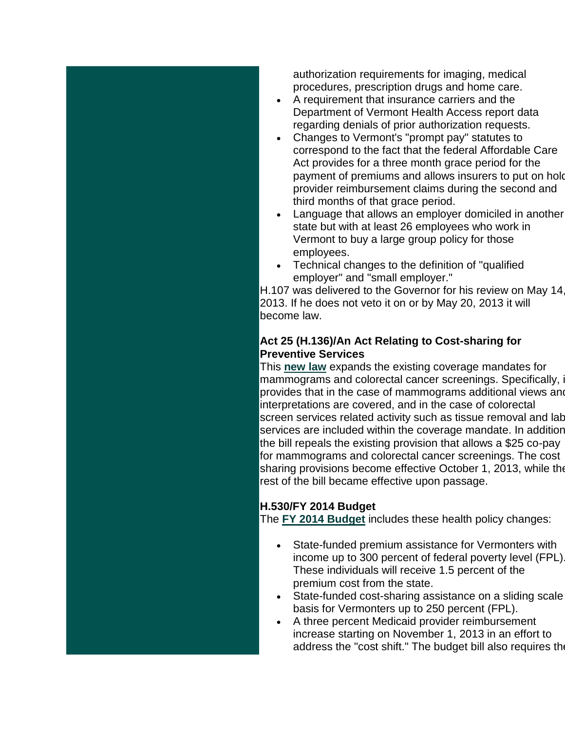authorization requirements for imaging, medical procedures, prescription drugs and home care.

- A requirement that insurance carriers and the Department of Vermont Health Access report data regarding denials of prior authorization requests.
- Changes to Vermont's "prompt pay" statutes to correspond to the fact that the federal Affordable Care Act provides for a three month grace period for the payment of premiums and allows insurers to put on hold provider reimbursement claims during the second and third months of that grace period.
- Language that allows an employer domiciled in another state but with at least 26 employees who work in Vermont to buy a large group policy for those employees.
- Technical changes to the definition of "qualified employer" and "small employer."

H.107 was delivered to the Governor for his review on May 14, 2013. If he does not veto it on or by May 20, 2013 it will become law.

#### **Act 25 (H.136)/An Act Relating to Cost-sharing for Preventive Services**

This **[new law](http://r20.rs6.net/tn.jsp?e=001SW14N2rk0Q63n6Ra4H7ppQ6CCeE8dIFA44G9y2xnK4afmgtE5fDxAZWtiIaClN4H8CJusa6vDI1lNJDwvBpJkYTZ9_w71b6ENbVy9WBNZjFxoOkPxZ_vbnyvzoy-XqYezr0ifJxfzaZx3OGq-nWB-iyfcggO8e78)** expands the existing coverage mandates for mammograms and colorectal cancer screenings. Specifically, i provides that in the case of mammograms additional views and interpretations are covered, and in the case of colorectal screen services related activity such as tissue removal and lab services are included within the coverage mandate. In additior the bill repeals the existing provision that allows a \$25 co-pay for mammograms and colorectal cancer screenings. The cost sharing provisions become effective October 1, 2013, while the rest of the bill became effective upon passage.

#### **H.530/FY 2014 Budget**

The **[FY 2014 Budget](http://r20.rs6.net/tn.jsp?e=001SW14N2rk0Q4kLSmYBVPcQmftjRpsVBRkG5ntU5bAoh77V4-at-RYnR3o04Qs5qabKIZ8onfHKxjELEOPldt58OzrMOyYXCkG_X60_N7lf3Rj7_7pXVcCtTbbaKhPuXjPNUfKkQ1YI_noUACxgK1m1fGB0BGxXExIzmC-XIuxPFk=)** includes these health policy changes:

- State-funded premium assistance for Vermonters with income up to 300 percent of federal poverty level (FPL). These individuals will receive 1.5 percent of the premium cost from the state.
- State-funded cost-sharing assistance on a sliding scale basis for Vermonters up to 250 percent (FPL).
- A three percent Medicaid provider reimbursement increase starting on November 1, 2013 in an effort to address the "cost shift." The budget bill also requires the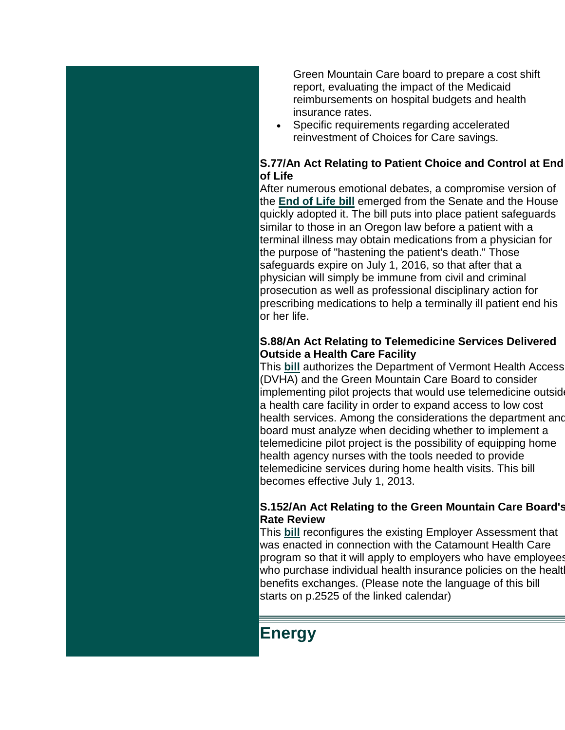<span id="page-10-0"></span>Green Mountain Care board to prepare a cost shift report, evaluating the impact of the Medicaid reimbursements on hospital budgets and health insurance rates.

 Specific requirements regarding accelerated reinvestment of Choices for Care savings.

#### **S.77/An Act Relating to Patient Choice and Control at End of Life**

After numerous emotional debates, a compromise version of the **[End of Life bill](http://r20.rs6.net/tn.jsp?e=001SW14N2rk0Q40MrDMVcVsw7rLhaMPx2ozjq20lSddgHPdzAck5WdEXGQxYnFQokp-buMzLLlNtLEW8NzMHZ1Dnlic4rn66j4rKCAWanloWY_ckvyxjud6agOw0DvzeaG0KcDoru1HcOElscmLhojvg6HbWJx4bxVAlyWnGkHuXIM=)** emerged from the Senate and the House quickly adopted it. The bill puts into place patient safeguards similar to those in an Oregon law before a patient with a terminal illness may obtain medications from a physician for the purpose of "hastening the patient's death." Those safeguards expire on July 1, 2016, so that after that a physician will simply be immune from civil and criminal prosecution as well as professional disciplinary action for prescribing medications to help a terminally ill patient end his or her life.

#### **S.88/An Act Relating to Telemedicine Services Delivered Outside a Health Care Facility**

This **[bill](http://r20.rs6.net/tn.jsp?e=001SW14N2rk0Q7BRuZTDLk-aOiOTp0GQJ4rt5VGMXUSTF0zB5HwJrdD-TMgAlwlk3zh5DjV2DK5jZIxsaRkbRJGlT8ZoPBrq0_CpusbkZXR738M4qr37BRiDKr7lnLgucprnS9pyT5UwS9FqTRhlkWQLjv4IA6cGiFhRoodiU-3yRo=)** authorizes the Department of Vermont Health Access (DVHA) and the Green Mountain Care Board to consider implementing pilot projects that would use telemedicine outside a health care facility in order to expand access to low cost health services. Among the considerations the department and board must analyze when deciding whether to implement a telemedicine pilot project is the possibility of equipping home health agency nurses with the tools needed to provide telemedicine services during home health visits. This bill becomes effective July 1, 2013.

#### **S.152/An Act Relating to the Green Mountain Care Board's Rate Review**

This **[bill](http://r20.rs6.net/tn.jsp?e=001SW14N2rk0Q4w7nuiS0pnDosS5zWmSoSwKubjgb8TLibrxGMSazSZht-nV9j2KSFSi-YEj_fCIh4iZnE-scXQNDRPlSH9MK_iVmDNr4mpBJ_FXyCU3OajQvA7vZxHQXVet4-U2jEWMlBt6WyJdhlBDMUwpgoMVbgXWRZ1HeHZbMk=)** reconfigures the existing Employer Assessment that was enacted in connection with the Catamount Health Care program so that it will apply to employers who have employees who purchase individual health insurance policies on the healt benefits exchanges. (Please note the language of this bill starts on p.2525 of the linked calendar)

# **Energy**